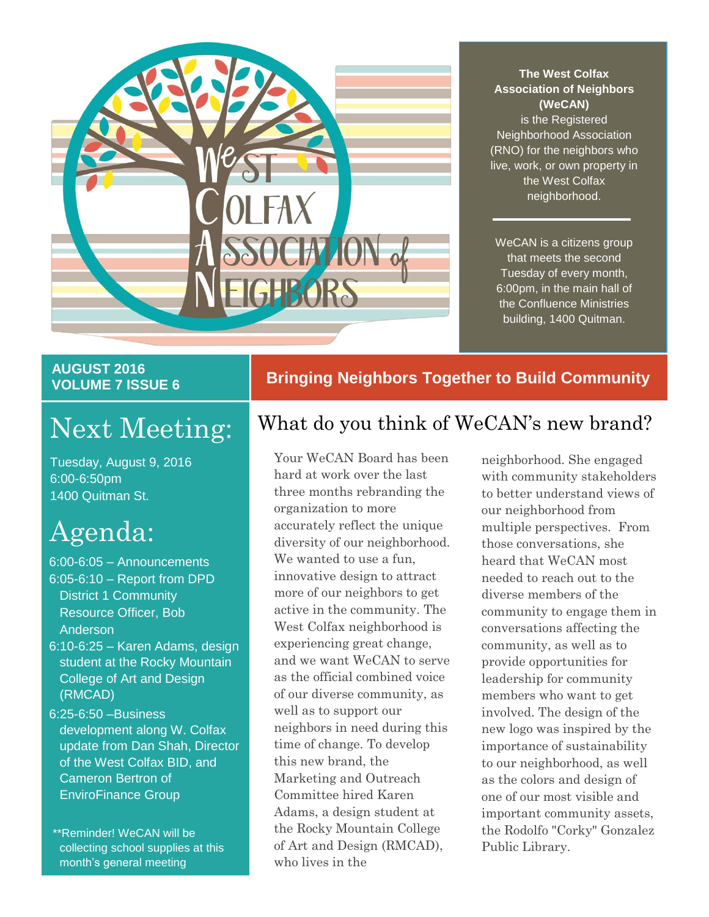

#### **The West Colfax Association of Neighbors (WeCAN)**

is the Registered Neighborhood Association (RNO) for the neighbors who live, work, or own property in the West Colfax neighborhood.

WeCAN is a citizens group that meets the second Tuesday of every month, 6:00pm, in the main hall of the Confluence Ministries building, 1400 Quitman.

### **AUGUST 2016 VOLUME 7 ISSUE 6**

Tuesday, August 9, 2016 6:00-6:50pm 1400 Quitman St.

# Agenda:

- 6:00-6:05 Announcements 6:05-6:10 – Report from DPD District 1 Community Resource Officer, Bob Anderson
- 6:10-6:25 Karen Adams, design student at the Rocky Mountain College of Art and Design (RMCAD)
- 6:25-6:50 –Business development along W. Colfax update from Dan Shah, Director of the West Colfax BID, and Cameron Bertron of EnviroFinance Group

\*\*Reminder! WeCAN will be collecting school supplies at this month's general meeting

### **Bringing Neighbors Together to Build Community**

# Next Meeting: What do you think of WeCAN's new brand?

Your WeCAN Board has been hard at work over the last three months rebranding the organization to more accurately reflect the unique diversity of our neighborhood. We wanted to use a fun. innovative design to attract more of our neighbors to get active in the community. The West Colfax neighborhood is experiencing great change, and we want WeCAN to serve as the official combined voice of our diverse community, as well as to support our neighbors in need during this time of change. To develop this new brand, the Marketing and Outreach Committee hired Karen Adams, a design student at the Rocky Mountain College of Art and Design (RMCAD), who lives in the

neighborhood. She engaged with community stakeholders to better understand views of our neighborhood from multiple perspectives. From those conversations, she heard that WeCAN most needed to reach out to the diverse members of the community to engage them in conversations affecting the community, as well as to provide opportunities for leadership for community members who want to get involved. The design of the new logo was inspired by the importance of sustainability to our neighborhood, as well as the colors and design of one of our most visible and important community assets, the Rodolfo "Corky" Gonzalez Public Library.